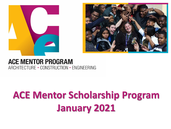



#### **ACE MENTOR PROGRAM** ARCHITECTURE - CONSTRUCTION - ENGINEERING

# **ACE Mentor Scholarship Program January 2021**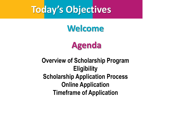#### **Today's Objectives**

#### **Welcome**

#### **Agenda**

#### **Overview of Scholarship Program Eligibility Scholarship Application Process Online Application Timeframe of Application**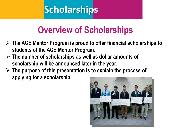## **Overview of Scholarships**

- ➢ **The ACE Mentor Program is proud to offer financial scholarships to students of the ACE Mentor Program.**
- ➢ **The number of scholarships as well as dollar amounts of scholarship will be announced later in the year.**
- ➢ **The purpose of this presentation is to explain the process of applying for a scholarship.**

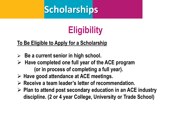# **Eligibility**

#### **To Be Eligible to Apply for a Scholarship**

- ➢ **Be a current senior in high school.**
- ➢ **Have completed one full year of the ACE program (or in process of completing a full year).**
- ➢ **Have good attendance at ACE meetings.**
- ➢ **Receive a team leader's letter of recommendation.**
- ➢ **Plan to attend post secondary education in an ACE industry discipline. (2 or 4 year College, University or Trade School)**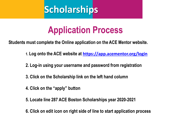#### **Application Process**

**Students must complete the Online application on the ACE Mentor website.**

- **1. Log onto the ACE website at <https://app.acementor.org/login>**
- **2. Log-in using your username and password from registration**
- **3. Click on the Scholarship link on the left hand column**
- **4. Click on the "apply" button**
- **5. Locate line 287 ACE Boston Scholarships year 2020-2021**
- **6. Click on edit icon on right side of line to start application process** *to*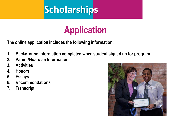## **Application**

**The online application includes the following information:**

- **1. Background Information completed when student signed up for program**
- **2. Parent/Guardian Information**
- **3. Activities**
- **4. Honors**
- **5. Essays**
- **6. Recommendations**
- **7. Transcript**

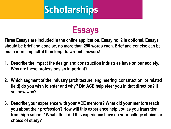

**Three Essays are included in the online application. Essay no. 2 is optional. Essays should be brief and concise, no more than 250 words each. Brief and concise can be much more impactful than long drawn-out answers!**

- **1. Describe the impact the design and construction industries have on our society. Why are these professions so important?**
- **2. Which segment of the industry (architecture, engineering, construction, or related field) do you wish to enter and why? Did ACE help steer you in that direction? If so, how/why?**
- **3. Describe your experience with your ACE mentors? What did your mentors teach you about their profession? How will this experience help you as you transition from high school? What effect did this experience have on your college choice, or choice of study?**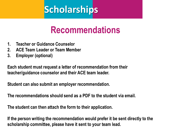#### **Recommendations**

- **1. Teacher or Guidance Counselor**
- **2. ACE Team Leader or Team Member**
- **3. Employer (optional)**

**Each student must request a letter of recommendation from their teacher/guidance counselor and their ACE team leader.**

**Student can also submit an employer recommendation.**

**The recommendations should send as a PDF to the student via email.** 

**The student can then attach the form to their application.** 

**If the person writing the recommendation would prefer it be sent directly to the scholarship committee, please have it sent to your team lead.**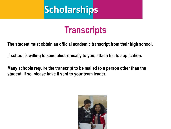

#### **Transcripts**

**The student must obtain an official academic transcript from their high school.** 

**If school is willing to send electronically to you, attach file to application.**

**Many schools require the transcript to be mailed to a person other than the student, If so, please have it sent to your team leader.** 

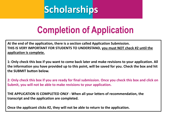## **Completion of Application**

**At the end of the application, there is a section called Application Submission. THIS IS VERY IMPORTANT FOR STUDENTS TO UNDERSTAND, you must NOT check #2 until the application is complete.**

**1: Only check this box if you want to come back later and make revisions to your application. All the information you have provided up to this point, will be saved for you. Check the box and hit the SUBMIT button below.**

**2: Only check this box if you are ready for final submission. Once you check this box and click on Submit, you will not be able to make revisions to your application.**

**THE APPLICATION IS COMPLETED ONLY - When all your letters of recommendation, the transcript and the application are completed.**

**Once the applicant clicks #2, they will not be able to return to the application.**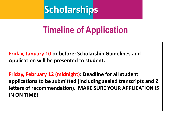#### **Timeline of Application**

**Friday, January 10 or before: Scholarship Guidelines and Application will be presented to student.**

**Friday, February 12 (midnight): Deadline for all student applications to be submitted (including sealed transcripts and 2 letters of recommendation). MAKE SURE YOUR APPLICATION IS IN ON TIME!**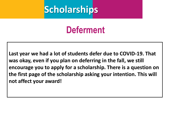#### **Deferment**

**Last year we had a lot of students defer due to COVID-19. That was okay, even if you plan on deferring in the fall, we still encourage you to apply for a scholarship. There is a question on the first page of the scholarship asking your intention. This will not affect your award!**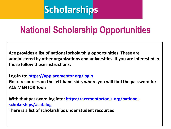## **National Scholarship Opportunities**

**Ace provides a list of national scholarship opportunities. These are administered by other organizations and universities. If you are interested in those follow these instructions:** 

**Log-in to: <https://app.acementor.org/login>**

**Go to resources on the left-hand side, where you will find the password for ACE MENTOR Tools** 

**[With that password log into: https://acementortools.org/national](https://acementortools.org/national-scholarships/#catalog)scholarships/#catalog**

**There is a list of scholarships under student resources**